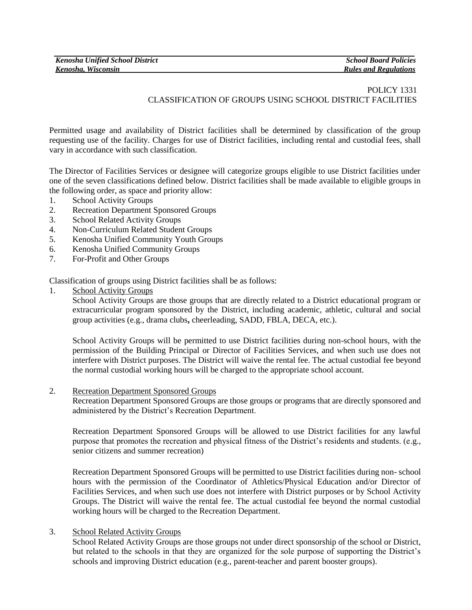# POLICY 1331 CLASSIFICATION OF GROUPS USING SCHOOL DISTRICT FACILITIES

Permitted usage and availability of District facilities shall be determined by classification of the group requesting use of the facility. Charges for use of District facilities, including rental and custodial fees, shall vary in accordance with such classification.

The Director of Facilities Services or designee will categorize groups eligible to use District facilities under one of the seven classifications defined below. District facilities shall be made available to eligible groups in the following order, as space and priority allow:

- 1. School Activity Groups
- 2. Recreation Department Sponsored Groups
- 3. School Related Activity Groups
- 4. Non-Curriculum Related Student Groups
- 5. Kenosha Unified Community Youth Groups
- 6. Kenosha Unified Community Groups
- 7. For-Profit and Other Groups

Classification of groups using District facilities shall be as follows:

1. School Activity Groups

School Activity Groups are those groups that are directly related to a District educational program or extracurricular program sponsored by the District, including academic, athletic, cultural and social group activities (e.g., drama clubs**,** cheerleading, SADD, FBLA, DECA, etc.).

School Activity Groups will be permitted to use District facilities during non-school hours, with the permission of the Building Principal or Director of Facilities Services, and when such use does not interfere with District purposes. The District will waive the rental fee. The actual custodial fee beyond the normal custodial working hours will be charged to the appropriate school account.

2. Recreation Department Sponsored Groups

Recreation Department Sponsored Groups are those groups or programs that are directly sponsored and administered by the District's Recreation Department.

Recreation Department Sponsored Groups will be allowed to use District facilities for any lawful purpose that promotes the recreation and physical fitness of the District's residents and students. (e.g., senior citizens and summer recreation)

Recreation Department Sponsored Groups will be permitted to use District facilities during non- school hours with the permission of the Coordinator of Athletics/Physical Education and/or Director of Facilities Services, and when such use does not interfere with District purposes or by School Activity Groups. The District will waive the rental fee. The actual custodial fee beyond the normal custodial working hours will be charged to the Recreation Department.

### 3. School Related Activity Groups

School Related Activity Groups are those groups not under direct sponsorship of the school or District, but related to the schools in that they are organized for the sole purpose of supporting the District's schools and improving District education (e.g., parent-teacher and parent booster groups).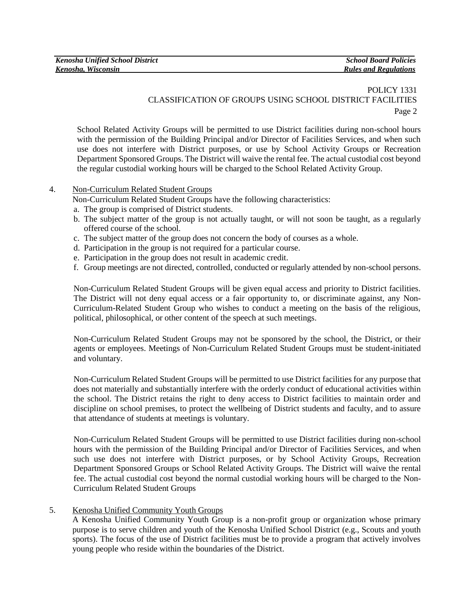| <b>Kenosha Unified School District</b> | <b>School Board Policies</b> |
|----------------------------------------|------------------------------|
| Kenosha, Wisconsin                     | <b>Rules and Regulations</b> |

# POLICY 1331 CLASSIFICATION OF GROUPS USING SCHOOL DISTRICT FACILITIES Page 2

School Related Activity Groups will be permitted to use District facilities during non-school hours with the permission of the Building Principal and/or Director of Facilities Services, and when such use does not interfere with District purposes, or use by School Activity Groups or Recreation Department Sponsored Groups. The District will waive the rental fee. The actual custodial cost beyond the regular custodial working hours will be charged to the School Related Activity Group.

- 4. Non-Curriculum Related Student Groups
	- Non-Curriculum Related Student Groups have the following characteristics:
	- a. The group is comprised of District students.
	- b. The subject matter of the group is not actually taught, or will not soon be taught, as a regularly offered course of the school.
	- c. The subject matter of the group does not concern the body of courses as a whole.
	- d. Participation in the group is not required for a particular course.
	- e. Participation in the group does not result in academic credit.
	- f. Group meetings are not directed, controlled, conducted or regularly attended by non-school persons.

Non-Curriculum Related Student Groups will be given equal access and priority to District facilities. The District will not deny equal access or a fair opportunity to, or discriminate against, any Non-Curriculum-Related Student Group who wishes to conduct a meeting on the basis of the religious, political, philosophical, or other content of the speech at such meetings.

Non-Curriculum Related Student Groups may not be sponsored by the school, the District, or their agents or employees. Meetings of Non-Curriculum Related Student Groups must be student-initiated and voluntary.

Non-Curriculum Related Student Groups will be permitted to use District facilities for any purpose that does not materially and substantially interfere with the orderly conduct of educational activities within the school. The District retains the right to deny access to District facilities to maintain order and discipline on school premises, to protect the wellbeing of District students and faculty, and to assure that attendance of students at meetings is voluntary.

Non-Curriculum Related Student Groups will be permitted to use District facilities during non-school hours with the permission of the Building Principal and/or Director of Facilities Services, and when such use does not interfere with District purposes, or by School Activity Groups, Recreation Department Sponsored Groups or School Related Activity Groups. The District will waive the rental fee. The actual custodial cost beyond the normal custodial working hours will be charged to the Non-Curriculum Related Student Groups

#### 5. Kenosha Unified Community Youth Groups

A Kenosha Unified Community Youth Group is a non-profit group or organization whose primary purpose is to serve children and youth of the Kenosha Unified School District (e.g., Scouts and youth sports). The focus of the use of District facilities must be to provide a program that actively involves young people who reside within the boundaries of the District.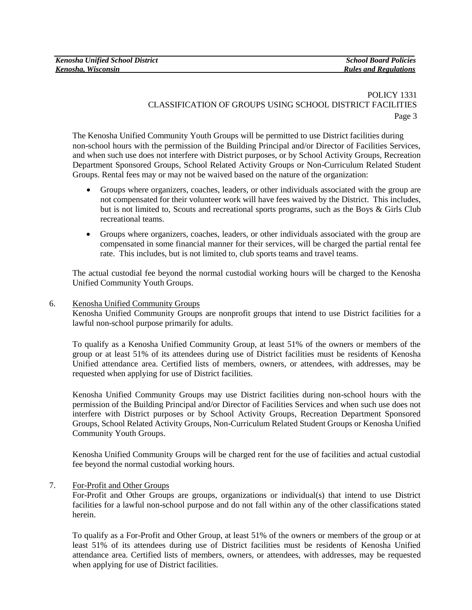# POLICY 1331 CLASSIFICATION OF GROUPS USING SCHOOL DISTRICT FACILITIES Page 3

The Kenosha Unified Community Youth Groups will be permitted to use District facilities during non-school hours with the permission of the Building Principal and/or Director of Facilities Services, and when such use does not interfere with District purposes, or by School Activity Groups, Recreation Department Sponsored Groups, School Related Activity Groups or Non-Curriculum Related Student Groups. Rental fees may or may not be waived based on the nature of the organization:

- Groups where organizers, coaches, leaders, or other individuals associated with the group are not compensated for their volunteer work will have fees waived by the District. This includes, but is not limited to, Scouts and recreational sports programs, such as the Boys & Girls Club recreational teams.
- Groups where organizers, coaches, leaders, or other individuals associated with the group are compensated in some financial manner for their services, will be charged the partial rental fee rate. This includes, but is not limited to, club sports teams and travel teams.

The actual custodial fee beyond the normal custodial working hours will be charged to the Kenosha Unified Community Youth Groups.

## 6. Kenosha Unified Community Groups

Kenosha Unified Community Groups are nonprofit groups that intend to use District facilities for a lawful non-school purpose primarily for adults.

To qualify as a Kenosha Unified Community Group, at least 51% of the owners or members of the group or at least 51% of its attendees during use of District facilities must be residents of Kenosha Unified attendance area. Certified lists of members, owners, or attendees, with addresses, may be requested when applying for use of District facilities.

Kenosha Unified Community Groups may use District facilities during non-school hours with the permission of the Building Principal and/or Director of Facilities Services and when such use does not interfere with District purposes or by School Activity Groups, Recreation Department Sponsored Groups, School Related Activity Groups, Non-Curriculum Related Student Groups or Kenosha Unified Community Youth Groups.

Kenosha Unified Community Groups will be charged rent for the use of facilities and actual custodial fee beyond the normal custodial working hours.

### 7. For-Profit and Other Groups

For-Profit and Other Groups are groups, organizations or individual(s) that intend to use District facilities for a lawful non-school purpose and do not fall within any of the other classifications stated herein.

To qualify as a For-Profit and Other Group, at least 51% of the owners or members of the group or at least 51% of its attendees during use of District facilities must be residents of Kenosha Unified attendance area. Certified lists of members, owners, or attendees, with addresses, may be requested when applying for use of District facilities.